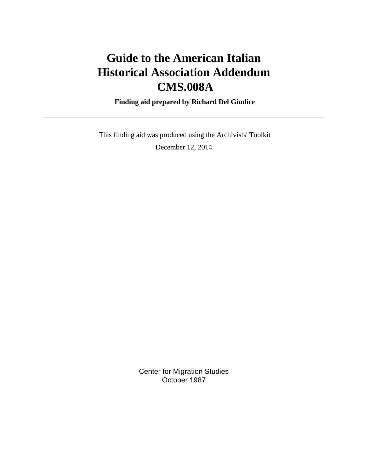# **Guide to the American Italian Historical Association Addendum CMS.008A**

 **Finding aid prepared by Richard Del Giudice**

 This finding aid was produced using the Archivists' Toolkit December 12, 2014

> Center for Migration Studies October 1987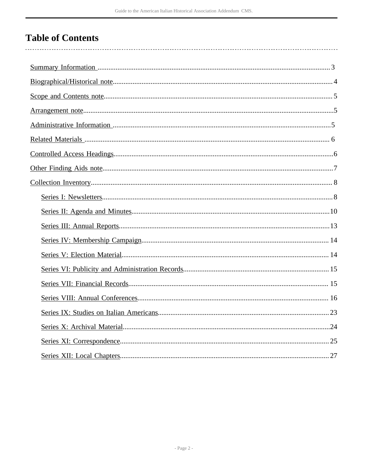# **Table of Contents**

| .24 |
|-----|
|     |
|     |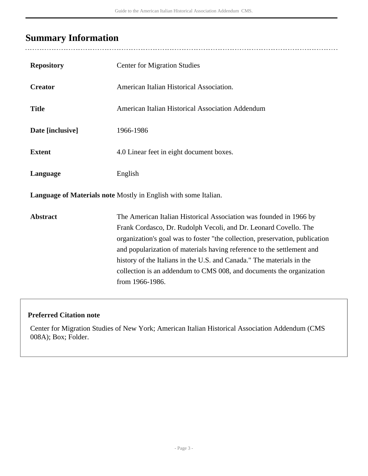## <span id="page-2-0"></span>**Summary Information**

| <b>Repository</b> | <b>Center for Migration Studies</b>                                                                                                                                                                                                                                                                                                                                                                                                                                  |
|-------------------|----------------------------------------------------------------------------------------------------------------------------------------------------------------------------------------------------------------------------------------------------------------------------------------------------------------------------------------------------------------------------------------------------------------------------------------------------------------------|
| <b>Creator</b>    | American Italian Historical Association.                                                                                                                                                                                                                                                                                                                                                                                                                             |
| <b>Title</b>      | American Italian Historical Association Addendum                                                                                                                                                                                                                                                                                                                                                                                                                     |
| Date [inclusive]  | 1966-1986                                                                                                                                                                                                                                                                                                                                                                                                                                                            |
| <b>Extent</b>     | 4.0 Linear feet in eight document boxes.                                                                                                                                                                                                                                                                                                                                                                                                                             |
| Language          | English                                                                                                                                                                                                                                                                                                                                                                                                                                                              |
|                   | Language of Materials note Mostly in English with some Italian.                                                                                                                                                                                                                                                                                                                                                                                                      |
| <b>Abstract</b>   | The American Italian Historical Association was founded in 1966 by<br>Frank Cordasco, Dr. Rudolph Vecoli, and Dr. Leonard Covello. The<br>organization's goal was to foster "the collection, preservation, publication<br>and popularization of materials having reference to the settlement and<br>history of the Italians in the U.S. and Canada." The materials in the<br>collection is an addendum to CMS 008, and documents the organization<br>from 1966-1986. |

### **Preferred Citation note**

Center for Migration Studies of New York; American Italian Historical Association Addendum (CMS 008A); Box; Folder.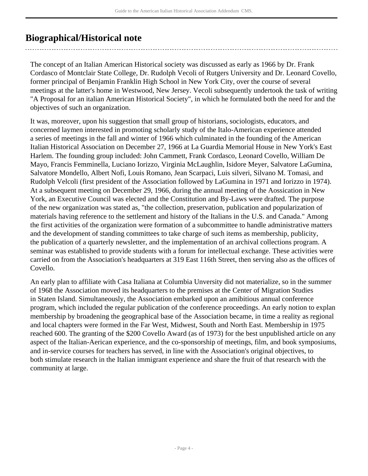## <span id="page-3-0"></span>**Biographical/Historical note**

The concept of an Italian American Historical society was discussed as early as 1966 by Dr. Frank Cordasco of Montclair State College, Dr. Rudolph Vecoli of Rutgers University and Dr. Leonard Covello, former principal of Benjamin Franklin High School in New York City, over the course of several meetings at the latter's home in Westwood, New Jersey. Vecoli subsequently undertook the task of writing "A Proposal for an italian American Historical Society", in which he formulated both the need for and the objectives of such an organization.

It was, moreover, upon his suggestion that small group of historians, sociologists, educators, and concerned laymen interested in promoting scholarly study of the Italo-American experience attended a series of meetings in the fall and winter of 1966 which culminated in the founding of the American Italian Historical Association on December 27, 1966 at La Guardia Memorial House in New York's East Harlem. The founding group included: John Cammett, Frank Cordasco, Leonard Covello, William De Mayo, Francis Femminella, Luciano Iorizzo, Virginia McLaughlin, Isidore Meyer, Salvatore LaGumina, Salvatore Mondello, Albert Nofi, Louis Romano, Jean Scarpaci, Luis silveri, Silvano M. Tomasi, and Rudolph Velcoli (first president of the Association followed by LaGumina in 1971 and Iorizzo in 1974). At a subsequent meeting on December 29, 1966, during the annual meeting of the Aossication in New York, an Executive Council was elected and the Constitution and By-Laws were drafted. The purpose of the new organization was stated as, "the collection, preservation, publication and popularization of materials having reference to the settlement and history of the Italians in the U.S. and Canada." Among the first activities of the organization were formation of a subcommittee to handle administrative matters and the development of standing committees to take charge of such items as membership, publicity, the publication of a quarterly newsletter, and the implementation of an archival collections program. A seminar was established to provide students with a forum for intellectual exchange. These activities were carried on from the Association's headquarters at 319 East 116th Street, then serving also as the offices of Covello.

An early plan to affiliate with Casa Italiana at Columbia Unversity did not materialize, so in the summer of 1968 the Association moved its headquarters to the premises at the Center of Migration Studies in Staten Island. Simultaneously, the Association embarked upon an amibitious annual conference program, which included the regular publication of the conference proceedings. An early notion to explan membership by broadening the geographical base of the Association became, in time a reality as regional and local chapters were formed in the Far West, Midwest, South and North East. Membership in 1975 reached 600. The granting of the \$200 Covello Award (as of 1973) for the best unpublished article on any aspect of the Italian-Aerican experience, and the co-sponsorship of meetings, film, and book symposiums, and in-service courses for teachers has served, in line with the Association's original objectives, to both stimulate research in the Italian immigrant experience and share the fruit of that research with the community at large.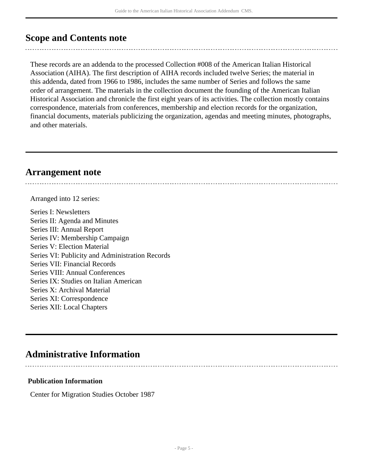### <span id="page-4-0"></span>**Scope and Contents note**

These records are an addenda to the processed Collection #008 of the American Italian Historical Association (AIHA). The first description of AIHA records included twelve Series; the material in this addenda, dated from 1966 to 1986, includes the same number of Series and follows the same order of arrangement. The materials in the collection document the founding of the American Italian Historical Association and chronicle the first eight years of its activities. The collection mostly contains correspondence, materials from conferences, membership and election records for the organization, financial documents, materials publicizing the organization, agendas and meeting minutes, photographs, and other materials.

### <span id="page-4-1"></span>**Arrangement note**

Arranged into 12 series:

Series I: Newsletters Series II: Agenda and Minutes Series III: Annual Report Series IV: Membership Campaign Series V: Election Material Series VI: Publicity and Administration Records Series VII: Financial Records Series VIII: Annual Conferences Series IX: Studies on Italian American Series X: Archival Material Series XI: Correspondence Series XII: Local Chapters

## <span id="page-4-2"></span>**Administrative Information**

#### **Publication Information**

Center for Migration Studies October 1987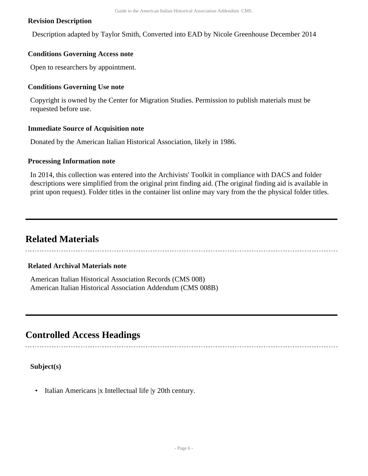#### **Revision Description**

Description adapted by Taylor Smith, Converted into EAD by Nicole Greenhouse December 2014

#### **Conditions Governing Access note**

Open to researchers by appointment.

#### **Conditions Governing Use note**

Copyright is owned by the Center for Migration Studies. Permission to publish materials must be requested before use.

#### **Immediate Source of Acquisition note**

Donated by the American Italian Historical Association, likely in 1986.

#### **Processing Information note**

In 2014, this collection was entered into the Archivists' Toolkit in compliance with DACS and folder descriptions were simplified from the original print finding aid. (The original finding aid is available in print upon request). Folder titles in the container list online may vary from the the physical folder titles.

## <span id="page-5-0"></span>**Related Materials**

#### **Related Archival Materials note**

American Italian Historical Association Records (CMS 008) American Italian Historical Association Addendum (CMS 008B)

## <span id="page-5-1"></span>**Controlled Access Headings**

**Subject(s)**

• Italian Americans |x Intellectual life |y 20th century.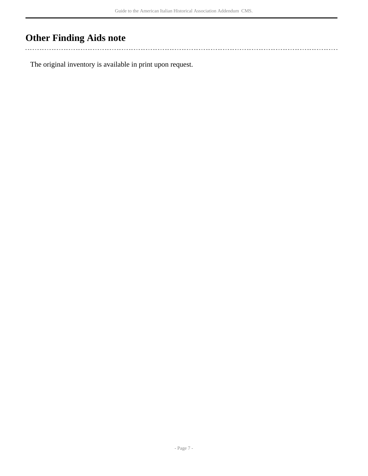# <span id="page-6-0"></span>**Other Finding Aids note**

 $\sim$ 

The original inventory is available in print upon request.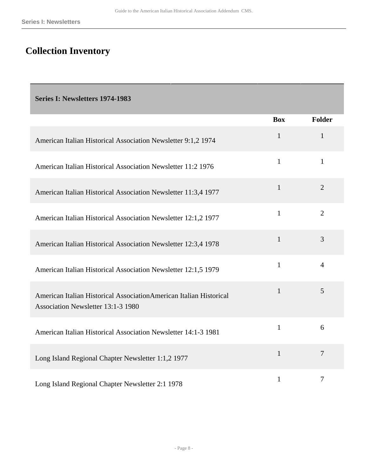## <span id="page-7-0"></span>**Collection Inventory**

<span id="page-7-1"></span>**Series I: Newsletters 1974-1983** 

|                                                                                                          | <b>Box</b>   | <b>Folder</b>  |
|----------------------------------------------------------------------------------------------------------|--------------|----------------|
| American Italian Historical Association Newsletter 9:1,2 1974                                            | $\mathbf{1}$ | $\mathbf{1}$   |
| American Italian Historical Association Newsletter 11:2 1976                                             | $\mathbf{1}$ | $\mathbf{1}$   |
| American Italian Historical Association Newsletter 11:3,4 1977                                           | $\mathbf{1}$ | 2              |
| American Italian Historical Association Newsletter 12:1,2 1977                                           | $\mathbf{1}$ | 2              |
| American Italian Historical Association Newsletter 12:3,4 1978                                           | $\mathbf{1}$ | 3              |
| American Italian Historical Association Newsletter 12:1,5 1979                                           | $\mathbf{1}$ | $\overline{4}$ |
| American Italian Historical AssociationAmerican Italian Historical<br>Association Newsletter 13:1-3 1980 | $\mathbf{1}$ | 5              |
| American Italian Historical Association Newsletter 14:1-3 1981                                           | $\mathbf{1}$ | 6              |
| Long Island Regional Chapter Newsletter 1:1,2 1977                                                       | $\mathbf{1}$ | $\overline{7}$ |
| Long Island Regional Chapter Newsletter 2:1 1978                                                         | $\mathbf{1}$ | $\overline{7}$ |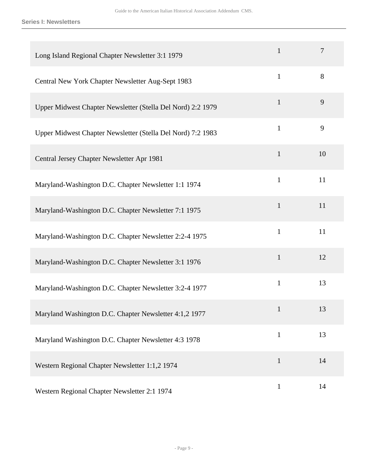**Series I: Newsletters**

| Long Island Regional Chapter Newsletter 3:1 1979            | $\mathbf{1}$ | 7  |
|-------------------------------------------------------------|--------------|----|
| Central New York Chapter Newsletter Aug-Sept 1983           | $\mathbf{1}$ | 8  |
| Upper Midwest Chapter Newsletter (Stella Del Nord) 2:2 1979 | $\mathbf{1}$ | 9  |
| Upper Midwest Chapter Newsletter (Stella Del Nord) 7:2 1983 | $\mathbf{1}$ | 9  |
| Central Jersey Chapter Newsletter Apr 1981                  | $\mathbf{1}$ | 10 |
| Maryland-Washington D.C. Chapter Newsletter 1:1 1974        | $\mathbf{1}$ | 11 |
| Maryland-Washington D.C. Chapter Newsletter 7:1 1975        | $\mathbf{1}$ | 11 |
| Maryland-Washington D.C. Chapter Newsletter 2:2-4 1975      | $\mathbf{1}$ | 11 |
| Maryland-Washington D.C. Chapter Newsletter 3:1 1976        | $\mathbf{1}$ | 12 |
| Maryland-Washington D.C. Chapter Newsletter 3:2-4 1977      | $\mathbf{1}$ | 13 |
| Maryland Washington D.C. Chapter Newsletter 4:1,2 1977      | 1            | 13 |
| Maryland Washington D.C. Chapter Newsletter 4:3 1978        | $\mathbf{1}$ | 13 |
| Western Regional Chapter Newsletter 1:1,2 1974              | $\mathbf{1}$ | 14 |
| Western Regional Chapter Newsletter 2:1 1974                | $\mathbf{1}$ | 14 |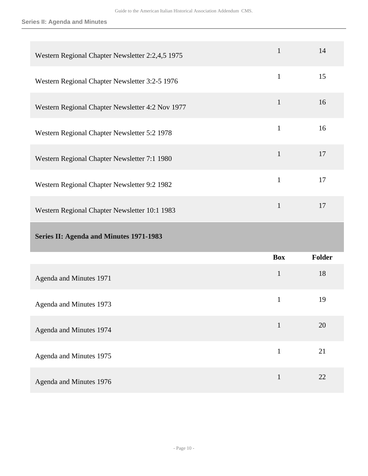#### **Series II: Agenda and Minutes**

<span id="page-9-0"></span>

| Western Regional Chapter Newsletter 2:2,4,5 1975 | $\mathbf{1}$ | 14     |
|--------------------------------------------------|--------------|--------|
| Western Regional Chapter Newsletter 3:2-5 1976   | $\mathbf{1}$ | 15     |
| Western Regional Chapter Newsletter 4:2 Nov 1977 | $\mathbf{1}$ | 16     |
| Western Regional Chapter Newsletter 5:2 1978     | $\mathbf{1}$ | 16     |
| Western Regional Chapter Newsletter 7:1 1980     | $\mathbf{1}$ | 17     |
| Western Regional Chapter Newsletter 9:2 1982     | $\mathbf{1}$ | 17     |
| Western Regional Chapter Newsletter 10:1 1983    | $\mathbf{1}$ | 17     |
| Series II: Agenda and Minutes 1971-1983          |              |        |
|                                                  | <b>Box</b>   | Folder |
| Agenda and Minutes 1971                          | $\mathbf{1}$ | 18     |
| Agenda and Minutes 1973                          | $\mathbf{1}$ | 19     |
| Agenda and Minutes 1974                          | $\mathbf{1}$ | 20     |
| Agenda and Minutes 1975                          | $\mathbf{1}$ | 21     |
| Agenda and Minutes 1976                          | $\mathbf{1}$ | 22     |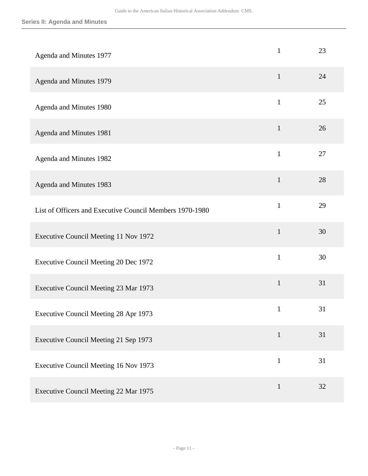| Agenda and Minutes 1977                                  | $\mathbf{1}$ | 23 |
|----------------------------------------------------------|--------------|----|
| Agenda and Minutes 1979                                  | $\mathbf{1}$ | 24 |
| Agenda and Minutes 1980                                  | $\mathbf{1}$ | 25 |
| Agenda and Minutes 1981                                  | $\mathbf{1}$ | 26 |
| Agenda and Minutes 1982                                  | $\mathbf{1}$ | 27 |
| Agenda and Minutes 1983                                  | $\mathbf{1}$ | 28 |
| List of Officers and Executive Council Members 1970-1980 | $\mathbf{1}$ | 29 |
| Executive Council Meeting 11 Nov 1972                    | $\mathbf{1}$ | 30 |
| Executive Council Meeting 20 Dec 1972                    | $\mathbf{1}$ | 30 |
| Executive Council Meeting 23 Mar 1973                    | $\mathbf{1}$ | 31 |
| Executive Council Meeting 28 Apr 1973                    | $\mathbf{1}$ | 31 |
| Executive Council Meeting 21 Sep 1973                    | $\mathbf{1}$ | 31 |
| Executive Council Meeting 16 Nov 1973                    | $\mathbf{1}$ | 31 |
| Executive Council Meeting 22 Mar 1975                    | $\mathbf{1}$ | 32 |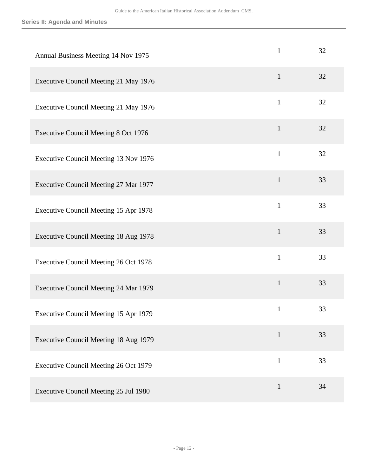| Annual Business Meeting 14 Nov 1975         | $\mathbf{1}$ | 32 |
|---------------------------------------------|--------------|----|
| Executive Council Meeting 21 May 1976       | $\mathbf{1}$ | 32 |
| Executive Council Meeting 21 May 1976       | $\mathbf{1}$ | 32 |
| <b>Executive Council Meeting 8 Oct 1976</b> | $\mathbf{1}$ | 32 |
| Executive Council Meeting 13 Nov 1976       | $\mathbf{1}$ | 32 |
| Executive Council Meeting 27 Mar 1977       | $\mathbf{1}$ | 33 |
| Executive Council Meeting 15 Apr 1978       | $\mathbf{1}$ | 33 |
| Executive Council Meeting 18 Aug 1978       | $\mathbf{1}$ | 33 |
| Executive Council Meeting 26 Oct 1978       | $\mathbf{1}$ | 33 |
| Executive Council Meeting 24 Mar 1979       | $\mathbf{1}$ | 33 |
| Executive Council Meeting 15 Apr 1979       | $\mathbf{1}$ | 33 |
| Executive Council Meeting 18 Aug 1979       | $\mathbf{1}$ | 33 |
| Executive Council Meeting 26 Oct 1979       | $\mathbf{1}$ | 33 |
| Executive Council Meeting 25 Jul 1980       | $\mathbf{1}$ | 34 |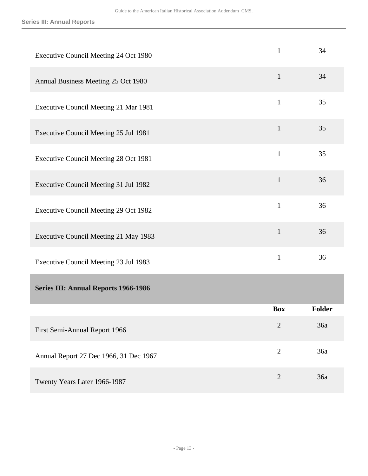<span id="page-12-0"></span>

| Executive Council Meeting 24 Oct 1980       | $\mathbf{1}$   | 34     |
|---------------------------------------------|----------------|--------|
| Annual Business Meeting 25 Oct 1980         | $\mathbf{1}$   | 34     |
| Executive Council Meeting 21 Mar 1981       | $\mathbf{1}$   | 35     |
| Executive Council Meeting 25 Jul 1981       | $\mathbf{1}$   | 35     |
| Executive Council Meeting 28 Oct 1981       | $\mathbf{1}$   | 35     |
| Executive Council Meeting 31 Jul 1982       | $\mathbf{1}$   | 36     |
| Executive Council Meeting 29 Oct 1982       | $\mathbf{1}$   | 36     |
| Executive Council Meeting 21 May 1983       | $\mathbf{1}$   | 36     |
| Executive Council Meeting 23 Jul 1983       | $\mathbf{1}$   | 36     |
| <b>Series III: Annual Reports 1966-1986</b> |                |        |
|                                             | <b>Box</b>     | Folder |
| First Semi-Annual Report 1966               | $\overline{2}$ | 36a    |
| Annual Report 27 Dec 1966, 31 Dec 1967      | $\overline{2}$ | 36a    |
| Twenty Years Later 1966-1987                | $\sqrt{2}$     | 36a    |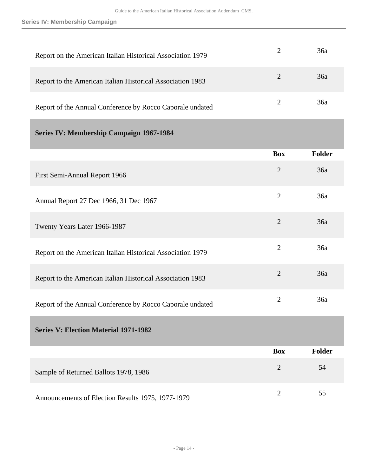<span id="page-13-1"></span><span id="page-13-0"></span>

| Report on the American Italian Historical Association 1979 | $\overline{2}$ | 36a           |
|------------------------------------------------------------|----------------|---------------|
| Report to the American Italian Historical Association 1983 | $\overline{2}$ | 36a           |
| Report of the Annual Conference by Rocco Caporale undated  | $\overline{2}$ | 36a           |
| <b>Series IV: Membership Campaign 1967-1984</b>            |                |               |
|                                                            | <b>Box</b>     | <b>Folder</b> |
| First Semi-Annual Report 1966                              | $\overline{2}$ | 36a           |
| Annual Report 27 Dec 1966, 31 Dec 1967                     | $\overline{2}$ | 36a           |
| Twenty Years Later 1966-1987                               | $\overline{2}$ | 36a           |
| Report on the American Italian Historical Association 1979 | $\overline{2}$ | 36a           |
| Report to the American Italian Historical Association 1983 | $\overline{2}$ | 36a           |
| Report of the Annual Conference by Rocco Caporale undated  | $\overline{2}$ | 36a           |
| <b>Series V: Election Material 1971-1982</b>               |                |               |
|                                                            | <b>Box</b>     | <b>Folder</b> |
| Sample of Returned Ballots 1978, 1986                      | $\overline{2}$ | 54            |
| Announcements of Election Results 1975, 1977-1979          | $\overline{2}$ | 55            |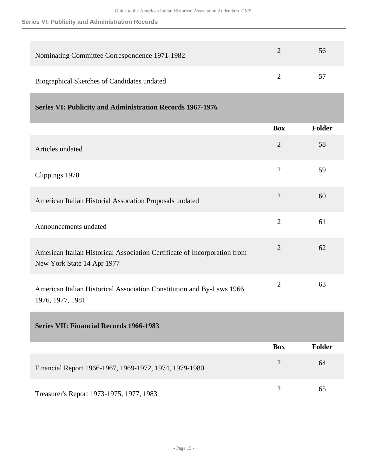#### **Series VI: Publicity and Administration Records**

| Nominating Committee Correspondence 1971-1982 | 56 |
|-----------------------------------------------|----|
| Biographical Sketches of Candidates undated   | 57 |

<span id="page-14-0"></span>

|  | <b>Series VI: Publicity and Administration Records 1967-1976</b> |
|--|------------------------------------------------------------------|
|  |                                                                  |

|                                                                                                         | <b>Box</b>     | Folder |
|---------------------------------------------------------------------------------------------------------|----------------|--------|
| Articles undated                                                                                        | $\overline{2}$ | 58     |
| Clippings 1978                                                                                          | $\overline{2}$ | 59     |
| American Italian Historial Assocation Proposals undated                                                 | $\overline{2}$ | 60     |
| Announcements undated                                                                                   | $\overline{2}$ | 61     |
| American Italian Historical Association Certificate of Incorporation from<br>New York State 14 Apr 1977 | $\overline{2}$ | 62     |
| American Italian Historical Association Constitution and By-Laws 1966,<br>1976, 1977, 1981              | $\overline{2}$ | 63     |

<span id="page-14-1"></span>**Series VII: Financial Records 1966-1983** 

|                                                        | <b>Box</b> | Folder |
|--------------------------------------------------------|------------|--------|
| Financial Report 1966-1967, 1969-1972, 1974, 1979-1980 |            | 64     |
| Treasurer's Report 1973-1975, 1977, 1983               |            | 65     |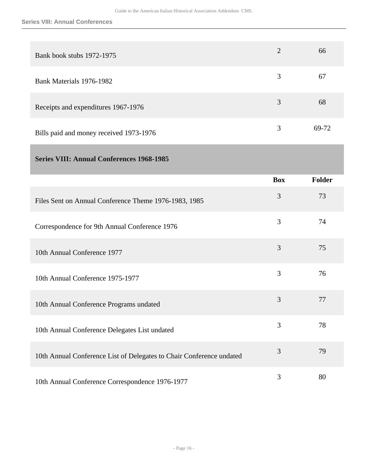| Bank book stubs 1972-1975               | $\overline{2}$ | 66    |
|-----------------------------------------|----------------|-------|
| Bank Materials 1976-1982                | 3              | 67    |
| Receipts and expenditures 1967-1976     | 3              | 68    |
| Bills paid and money received 1973-1976 | 3              | 69-72 |

### <span id="page-15-0"></span>**Series VIII: Annual Conferences 1968-1985**

|                                                                      | <b>Box</b> | Folder |
|----------------------------------------------------------------------|------------|--------|
| Files Sent on Annual Conference Theme 1976-1983, 1985                | 3          | 73     |
| Correspondence for 9th Annual Conference 1976                        | 3          | 74     |
| 10th Annual Conference 1977                                          | 3          | 75     |
| 10th Annual Conference 1975-1977                                     | 3          | 76     |
| 10th Annual Conference Programs undated                              | 3          | 77     |
| 10th Annual Conference Delegates List undated                        | 3          | 78     |
| 10th Annual Conference List of Delegates to Chair Conference undated | 3          | 79     |
| 10th Annual Conference Correspondence 1976-1977                      | 3          | 80     |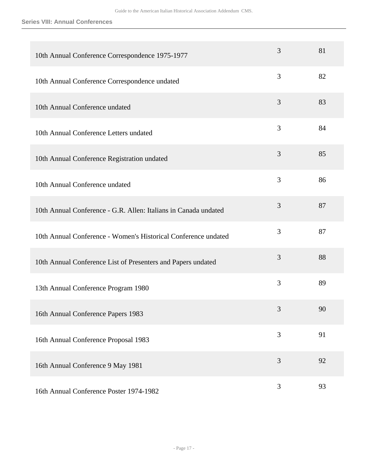#### **Series VIII: Annual Conferences**

| 10th Annual Conference Correspondence 1975-1977                 | 3 | 81 |
|-----------------------------------------------------------------|---|----|
| 10th Annual Conference Correspondence undated                   | 3 | 82 |
| 10th Annual Conference undated                                  | 3 | 83 |
| 10th Annual Conference Letters undated                          | 3 | 84 |
| 10th Annual Conference Registration undated                     | 3 | 85 |
| 10th Annual Conference undated                                  | 3 | 86 |
| 10th Annual Conference - G.R. Allen: Italians in Canada undated | 3 | 87 |
| 10th Annual Conference - Women's Historical Conference undated  | 3 | 87 |
| 10th Annual Conference List of Presenters and Papers undated    | 3 | 88 |
| 13th Annual Conference Program 1980                             | 3 | 89 |
| 16th Annual Conference Papers 1983                              | 3 | 90 |
| 16th Annual Conference Proposal 1983                            | 3 | 91 |
| 16th Annual Conference 9 May 1981                               | 3 | 92 |
| 16th Annual Conference Poster 1974-1982                         | 3 | 93 |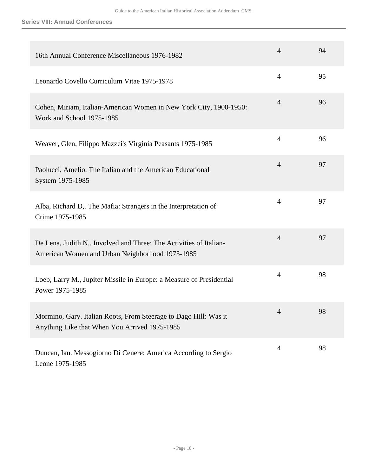#### **Series VIII: Annual Conferences**

| 16th Annual Conference Miscellaneous 1976-1982                                                                        | $\overline{4}$ | 94 |
|-----------------------------------------------------------------------------------------------------------------------|----------------|----|
| Leonardo Covello Curriculum Vitae 1975-1978                                                                           | $\overline{4}$ | 95 |
| Cohen, Miriam, Italian-American Women in New York City, 1900-1950:<br>Work and School 1975-1985                       | $\overline{4}$ | 96 |
| Weaver, Glen, Filippo Mazzei's Virginia Peasants 1975-1985                                                            | $\overline{4}$ | 96 |
| Paolucci, Amelio. The Italian and the American Educational<br>System 1975-1985                                        | $\overline{4}$ | 97 |
| Alba, Richard D,. The Mafia: Strangers in the Interpretation of<br>Crime 1975-1985                                    | $\overline{4}$ | 97 |
| De Lena, Judith N,. Involved and Three: The Activities of Italian-<br>American Women and Urban Neighborhood 1975-1985 | $\overline{4}$ | 97 |
| Loeb, Larry M., Jupiter Missile in Europe: a Measure of Presidential<br>Power 1975-1985                               | $\overline{4}$ | 98 |
| Mormino, Gary. Italian Roots, From Steerage to Dago Hill: Was it<br>Anything Like that When You Arrived 1975-1985     | $\overline{4}$ | 98 |
| Duncan, Ian. Messogiorno Di Cenere: America According to Sergio<br>Leone 1975-1985                                    | $\overline{4}$ | 98 |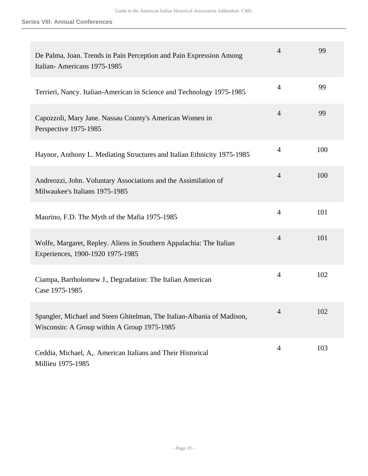| De Palma, Joan. Trends in Pain Perception and Pain Expression Among<br>Italian-Americans 1975-1985                    | $\overline{4}$ | 99  |
|-----------------------------------------------------------------------------------------------------------------------|----------------|-----|
| Terrieri, Nancy. Italian-American in Science and Technology 1975-1985                                                 | $\overline{4}$ | 99  |
| Capozzoli, Mary Jane. Nassau County's American Women in<br>Perspective 1975-1985                                      | $\overline{4}$ | 99  |
| Haynor, Anthony L. Mediating Structures and Italian Ethnicity 1975-1985                                               | $\overline{4}$ | 100 |
| Andreozzi, John. Voluntary Associations and the Assimilation of<br>Milwaukee's Italians 1975-1985                     | $\overline{4}$ | 100 |
| Maurino, F.D. The Myth of the Mafia 1975-1985                                                                         | $\overline{4}$ | 101 |
| Wolfe, Margaret, Repley. Aliens in Southern Appalachia: The Italian<br>Experiences, 1900-1920 1975-1985               | $\overline{4}$ | 101 |
| Ciampa, Bartholomew J., Degradation: The Italian American<br>Case 1975-1985                                           | $\overline{4}$ | 102 |
| Spangler, Michael and Steen Ghitelman, The Italian-Albania of Madison,<br>Wisconsin: A Group within A Group 1975-1985 | $\overline{4}$ | 102 |
| Ceddia, Michael, A,. American Italians and Their Historical<br>Millieu 1975-1985                                      | $\overline{4}$ | 103 |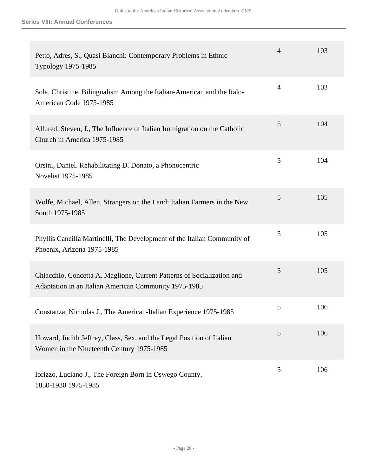| Petto, Adres, S., Quasi Bianchi: Contemporary Problems in Ethnic<br>Typology 1975-1985                                          | $\overline{4}$ | 103 |
|---------------------------------------------------------------------------------------------------------------------------------|----------------|-----|
| Sola, Christine. Bilingualism Among the Italian-American and the Italo-<br>American Code 1975-1985                              | $\overline{4}$ | 103 |
| Allured, Steven, J., The Influence of Italian Immigration on the Catholic<br>Church in America 1975-1985                        | 5              | 104 |
| Orsini, Daniel. Rehabilitating D. Donato, a Phonocentric<br>Novelist 1975-1985                                                  | 5              | 104 |
| Wolfe, Michael, Allen, Strangers on the Land: Italian Farmers in the New<br>South 1975-1985                                     | 5              | 105 |
| Phyllis Cancilla Martinelli, The Development of the Italian Community of<br>Phoenix, Arizona 1975-1985                          | 5              | 105 |
| Chiacchio, Concetta A. Maglione, Current Patterns of Socialization and<br>Adaptation in an Italian American Community 1975-1985 | 5              | 105 |
| Constanza, Nicholas J., The American-Italian Experience 1975-1985                                                               | 5              | 106 |
| Howard, Judith Jeffrey, Class, Sex, and the Legal Position of Italian<br>Women in the Nineteenth Century 1975-1985              | 5              | 106 |
| Iorizzo, Luciano J., The Foreign Born in Oswego County,<br>1850-1930 1975-1985                                                  | 5              | 106 |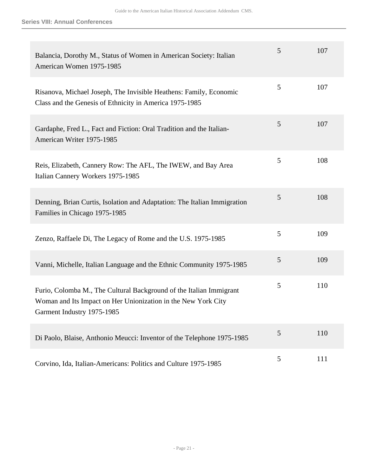| Balancia, Dorothy M., Status of Women in American Society: Italian<br>American Women 1975-1985                                                                     | 5 | 107 |
|--------------------------------------------------------------------------------------------------------------------------------------------------------------------|---|-----|
| Risanova, Michael Joseph, The Invisible Heathens: Family, Economic<br>Class and the Genesis of Ethnicity in America 1975-1985                                      | 5 | 107 |
| Gardaphe, Fred L., Fact and Fiction: Oral Tradition and the Italian-<br>American Writer 1975-1985                                                                  | 5 | 107 |
| Reis, Elizabeth, Cannery Row: The AFL, The IWEW, and Bay Area<br>Italian Cannery Workers 1975-1985                                                                 | 5 | 108 |
| Denning, Brian Curtis, Isolation and Adaptation: The Italian Immigration<br>Families in Chicago 1975-1985                                                          | 5 | 108 |
| Zenzo, Raffaele Di, The Legacy of Rome and the U.S. 1975-1985                                                                                                      | 5 | 109 |
| Vanni, Michelle, Italian Language and the Ethnic Community 1975-1985                                                                                               | 5 | 109 |
| Furio, Colomba M., The Cultural Background of the Italian Immigrant<br>Woman and Its Impact on Her Unionization in the New York City<br>Garment Industry 1975-1985 | 5 | 110 |
| Di Paolo, Blaise, Anthonio Meucci: Inventor of the Telephone 1975-1985                                                                                             | 5 | 110 |
| Corvino, Ida, Italian-Americans: Politics and Culture 1975-1985                                                                                                    | 5 | 111 |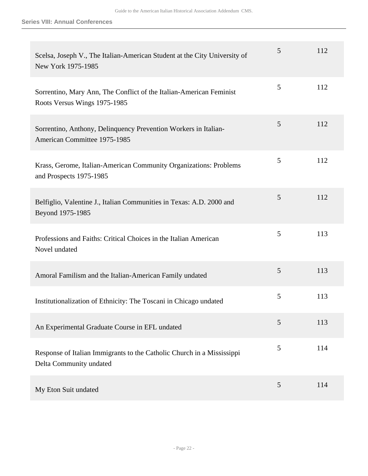| Scelsa, Joseph V., The Italian-American Student at the City University of<br>New York 1975-1985     | 5 | 112 |
|-----------------------------------------------------------------------------------------------------|---|-----|
| Sorrentino, Mary Ann, The Conflict of the Italian-American Feminist<br>Roots Versus Wings 1975-1985 | 5 | 112 |
| Sorrentino, Anthony, Delinquency Prevention Workers in Italian-<br>American Committee 1975-1985     | 5 | 112 |
| Krass, Gerome, Italian-American Community Organizations: Problems<br>and Prospects 1975-1985        | 5 | 112 |
| Belfiglio, Valentine J., Italian Communities in Texas: A.D. 2000 and<br>Beyond 1975-1985            | 5 | 112 |
| Professions and Faiths: Critical Choices in the Italian American<br>Novel undated                   | 5 | 113 |
| Amoral Familism and the Italian-American Family undated                                             | 5 | 113 |
| Institutionalization of Ethnicity: The Toscani in Chicago undated                                   | 5 | 113 |
| An Experimental Graduate Course in EFL undated                                                      | 5 | 113 |
| Response of Italian Immigrants to the Catholic Church in a Mississippi<br>Delta Community undated   | 5 | 114 |
| My Eton Suit undated                                                                                | 5 | 114 |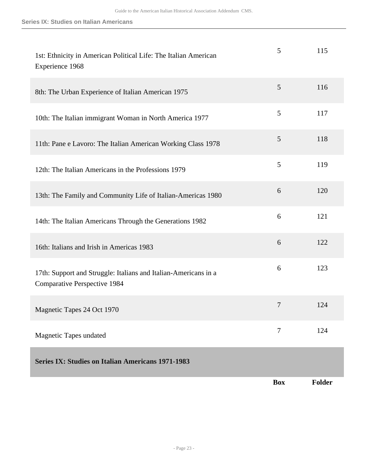<span id="page-22-0"></span>

| 1st: Ethnicity in American Political Life: The Italian American<br>Experience 1968                     | 5          | 115           |
|--------------------------------------------------------------------------------------------------------|------------|---------------|
| 8th: The Urban Experience of Italian American 1975                                                     | 5          | 116           |
| 10th: The Italian immigrant Woman in North America 1977                                                | 5          | 117           |
| 11th: Pane e Lavoro: The Italian American Working Class 1978                                           | 5          | 118           |
| 12th: The Italian Americans in the Professions 1979                                                    | 5          | 119           |
| 13th: The Family and Community Life of Italian-Americas 1980                                           | 6          | 120           |
| 14th: The Italian Americans Through the Generations 1982                                               | 6          | 121           |
| 16th: Italians and Irish in Americas 1983                                                              | 6          | 122           |
| 17th: Support and Struggle: Italians and Italian-Americans in a<br><b>Comparative Perspective 1984</b> | 6          | 123           |
| Magnetic Tapes 24 Oct 1970                                                                             | 7          | 124           |
| <b>Magnetic Tapes undated</b>                                                                          | $\tau$     | 124           |
| <b>Series IX: Studies on Italian Americans 1971-1983</b>                                               |            |               |
|                                                                                                        | <b>Box</b> | <b>Folder</b> |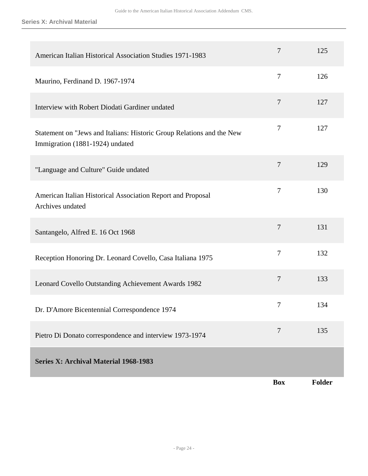**Series X: Archival Material**

<span id="page-23-0"></span>

| American Italian Historical Association Studies 1971-1983                                                | 7                | 125           |
|----------------------------------------------------------------------------------------------------------|------------------|---------------|
| Maurino, Ferdinand D. 1967-1974                                                                          | $\overline{7}$   | 126           |
| Interview with Robert Diodati Gardiner undated                                                           | $\tau$           | 127           |
| Statement on "Jews and Italians: Historic Group Relations and the New<br>Immigration (1881-1924) undated | 7                | 127           |
| "Language and Culture" Guide undated                                                                     | $\tau$           | 129           |
| American Italian Historical Association Report and Proposal<br>Archives undated                          | 7                | 130           |
| Santangelo, Alfred E. 16 Oct 1968                                                                        | 7                | 131           |
| Reception Honoring Dr. Leonard Covello, Casa Italiana 1975                                               | $\overline{7}$   | 132           |
| Leonard Covello Outstanding Achievement Awards 1982                                                      | $\boldsymbol{7}$ | 133           |
| Dr. D'Amore Bicentennial Correspondence 1974                                                             | 7                | 134           |
| Pietro Di Donato correspondence and interview 1973-1974                                                  | $\overline{7}$   | 135           |
| <b>Series X: Archival Material 1968-1983</b>                                                             |                  |               |
|                                                                                                          | <b>Box</b>       | <b>Folder</b> |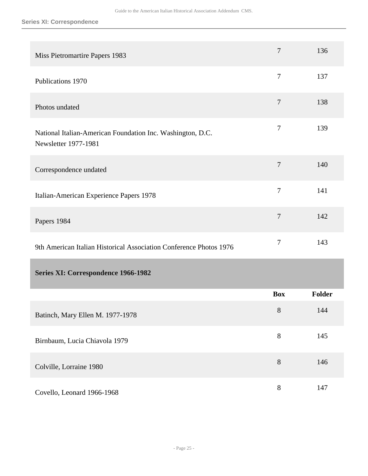**Series XI: Correspondence**

<span id="page-24-0"></span>

| Miss Pietromartire Papers 1983                                                     | $\overline{7}$   | 136           |
|------------------------------------------------------------------------------------|------------------|---------------|
| Publications 1970                                                                  | $\overline{7}$   | 137           |
| Photos undated                                                                     | $\tau$           | 138           |
| National Italian-American Foundation Inc. Washington, D.C.<br>Newsletter 1977-1981 | $\tau$           | 139           |
| Correspondence undated                                                             | $\overline{7}$   | 140           |
| Italian-American Experience Papers 1978                                            | $\boldsymbol{7}$ | 141           |
| Papers 1984                                                                        | $\overline{7}$   | 142           |
| 9th American Italian Historical Association Conference Photos 1976                 | $\boldsymbol{7}$ | 143           |
| Series XI: Correspondence 1966-1982                                                |                  |               |
|                                                                                    | <b>Box</b>       | <b>Folder</b> |
| Batinch, Mary Ellen M. 1977-1978                                                   | 8                | 144           |
| Birnbaum, Lucia Chiavola 1979                                                      | $8\,$            | 145           |
| Colville, Lorraine 1980                                                            | $8\,$            | 146           |
| Covello, Leonard 1966-1968                                                         | $8\,$            | 147           |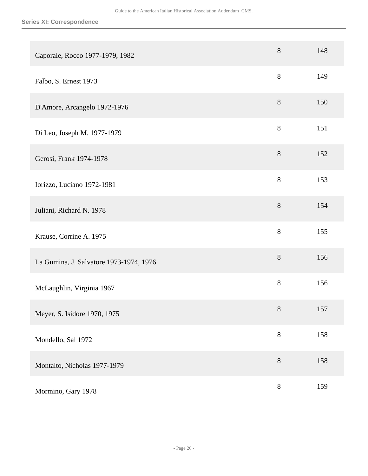| Caporale, Rocco 1977-1979, 1982         | $8\,$ | 148 |
|-----------------------------------------|-------|-----|
| Falbo, S. Ernest 1973                   | 8     | 149 |
| D'Amore, Arcangelo 1972-1976            | $8\,$ | 150 |
| Di Leo, Joseph M. 1977-1979             | 8     | 151 |
| Gerosi, Frank 1974-1978                 | 8     | 152 |
| Iorizzo, Luciano 1972-1981              | 8     | 153 |
| Juliani, Richard N. 1978                | $8\,$ | 154 |
| Krause, Corrine A. 1975                 | 8     | 155 |
| La Gumina, J. Salvatore 1973-1974, 1976 | 8     | 156 |
| McLaughlin, Virginia 1967               | $8\,$ | 156 |
| Meyer, S. Isidore 1970, 1975            | 8     | 157 |
| Mondello, Sal 1972                      | $8\,$ | 158 |
| Montalto, Nicholas 1977-1979            | $8\,$ | 158 |
| Mormino, Gary 1978                      | $8\,$ | 159 |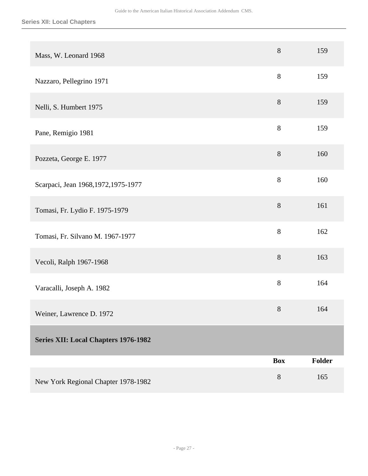<span id="page-26-0"></span>

| Mass, W. Leonard 1968                       | $8\,$      | 159    |
|---------------------------------------------|------------|--------|
| Nazzaro, Pellegrino 1971                    | 8          | 159    |
| Nelli, S. Humbert 1975                      | 8          | 159    |
| Pane, Remigio 1981                          | $8\,$      | 159    |
| Pozzeta, George E. 1977                     | $8\,$      | 160    |
| Scarpaci, Jean 1968, 1972, 1975-1977        | $8\,$      | 160    |
| Tomasi, Fr. Lydio F. 1975-1979              | $8\,$      | 161    |
| Tomasi, Fr. Silvano M. 1967-1977            | 8          | 162    |
| Vecoli, Ralph 1967-1968                     | 8          | 163    |
| Varacalli, Joseph A. 1982                   | 8          | 164    |
| Weiner, Lawrence D. 1972                    | $8\,$      | 164    |
| <b>Series XII: Local Chapters 1976-1982</b> |            |        |
|                                             | <b>Box</b> | Folder |
| New York Regional Chapter 1978-1982         | $8\,$      | 165    |